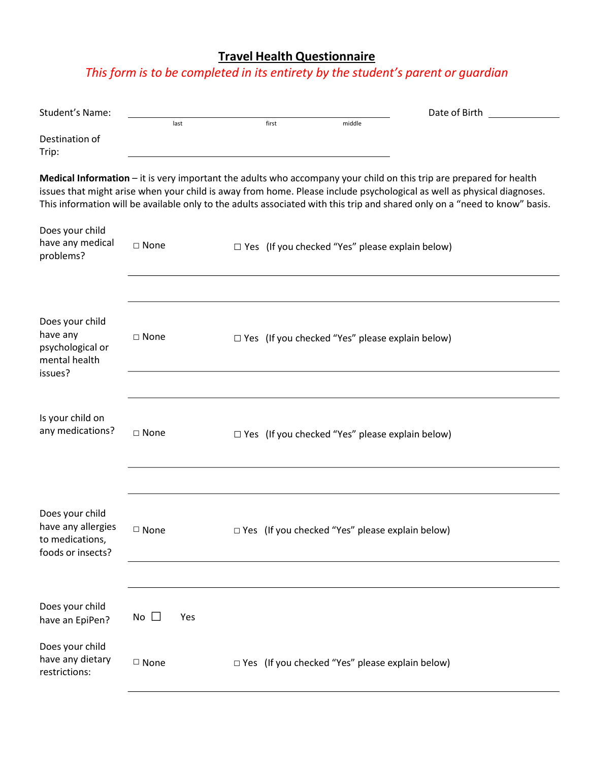## **Travel Health Questionnaire**

## *This form is to be completed in its entirety by the student's parent or guardian*

| Student's Name:                                                               |                  |       |                                                        | Date of Birth                                                                                                                                                                                                                                                                                                                                                               |  |
|-------------------------------------------------------------------------------|------------------|-------|--------------------------------------------------------|-----------------------------------------------------------------------------------------------------------------------------------------------------------------------------------------------------------------------------------------------------------------------------------------------------------------------------------------------------------------------------|--|
|                                                                               | last             | first | middle                                                 |                                                                                                                                                                                                                                                                                                                                                                             |  |
| Destination of<br>Trip:                                                       |                  |       |                                                        |                                                                                                                                                                                                                                                                                                                                                                             |  |
|                                                                               |                  |       |                                                        | Medical Information – it is very important the adults who accompany your child on this trip are prepared for health<br>issues that might arise when your child is away from home. Please include psychological as well as physical diagnoses.<br>This information will be available only to the adults associated with this trip and shared only on a "need to know" basis. |  |
| Does your child<br>have any medical<br>problems?                              | $\square$ None   |       | $\Box$ Yes (If you checked "Yes" please explain below) |                                                                                                                                                                                                                                                                                                                                                                             |  |
| Does your child<br>have any<br>psychological or<br>mental health<br>issues?   | $\square$ None   |       | $\Box$ Yes (If you checked "Yes" please explain below) |                                                                                                                                                                                                                                                                                                                                                                             |  |
|                                                                               |                  |       |                                                        |                                                                                                                                                                                                                                                                                                                                                                             |  |
| Is your child on<br>any medications?                                          | $\square$ None   |       | $\Box$ Yes (If you checked "Yes" please explain below) |                                                                                                                                                                                                                                                                                                                                                                             |  |
|                                                                               |                  |       |                                                        |                                                                                                                                                                                                                                                                                                                                                                             |  |
| Does your child<br>have any allergies<br>to medications,<br>foods or insects? | □ None           |       | $\Box$ Yes (If you checked "Yes" please explain below) |                                                                                                                                                                                                                                                                                                                                                                             |  |
|                                                                               |                  |       |                                                        |                                                                                                                                                                                                                                                                                                                                                                             |  |
| Does your child<br>have an EpiPen?                                            | $No \cup$<br>Yes |       |                                                        |                                                                                                                                                                                                                                                                                                                                                                             |  |
| Does your child<br>have any dietary<br>restrictions:                          | $\square$ None   |       | $\Box$ Yes (If you checked "Yes" please explain below) |                                                                                                                                                                                                                                                                                                                                                                             |  |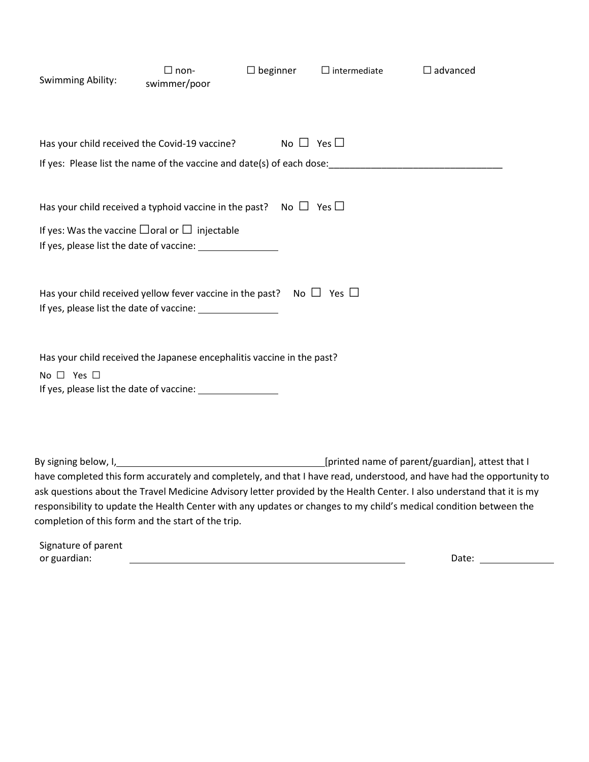| Swimming Ability:                                                                                                                       | $\Box$ non-<br>swimmer/poor | $\Box$ beginner | $\Box$ intermediate  | $\Box$ advanced                                                                                                                                                                                                                                                                                                                                                                                                                                            |  |
|-----------------------------------------------------------------------------------------------------------------------------------------|-----------------------------|-----------------|----------------------|------------------------------------------------------------------------------------------------------------------------------------------------------------------------------------------------------------------------------------------------------------------------------------------------------------------------------------------------------------------------------------------------------------------------------------------------------------|--|
| Has your child received the Covid-19 vaccine?                                                                                           |                             |                 | No $\Box$ Yes $\Box$ |                                                                                                                                                                                                                                                                                                                                                                                                                                                            |  |
| Has your child received a typhoid vaccine in the past? No $\Box$ Yes $\Box$<br>If yes: Was the vaccine $\Box$ oral or $\Box$ injectable |                             |                 |                      |                                                                                                                                                                                                                                                                                                                                                                                                                                                            |  |
| Has your child received yellow fever vaccine in the past?                                                                               |                             |                 | No $\Box$ Yes $\Box$ |                                                                                                                                                                                                                                                                                                                                                                                                                                                            |  |
| Has your child received the Japanese encephalitis vaccine in the past?<br>No $\Box$ Yes $\Box$                                          |                             |                 |                      |                                                                                                                                                                                                                                                                                                                                                                                                                                                            |  |
| completion of this form and the start of the trip.                                                                                      |                             |                 |                      | By signing below, I, 1, 2008 [1] [printed name of parent/guardian], attest that I<br>have completed this form accurately and completely, and that I have read, understood, and have had the opportunity to<br>ask questions about the Travel Medicine Advisory letter provided by the Health Center. I also understand that it is my<br>responsibility to update the Health Center with any updates or changes to my child's medical condition between the |  |

| Signature of parent |      |
|---------------------|------|
| or guardian:        | Date |

÷.